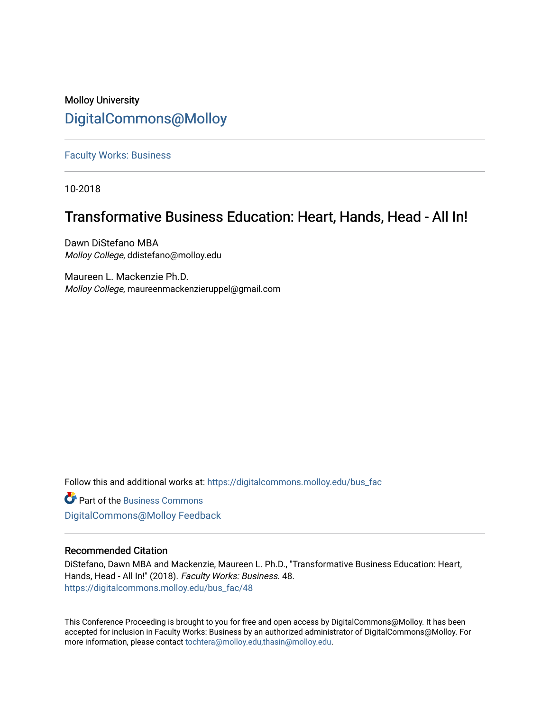# Molloy University [DigitalCommons@Molloy](https://digitalcommons.molloy.edu/)

[Faculty Works: Business](https://digitalcommons.molloy.edu/bus_fac) 

10-2018

# Transformative Business Education: Heart, Hands, Head - All In!

Dawn DiStefano MBA Molloy College, ddistefano@molloy.edu

Maureen L. Mackenzie Ph.D. Molloy College, maureenmackenzieruppel@gmail.com

Follow this and additional works at: [https://digitalcommons.molloy.edu/bus\\_fac](https://digitalcommons.molloy.edu/bus_fac?utm_source=digitalcommons.molloy.edu%2Fbus_fac%2F48&utm_medium=PDF&utm_campaign=PDFCoverPages)

**C** Part of the [Business Commons](https://network.bepress.com/hgg/discipline/622?utm_source=digitalcommons.molloy.edu%2Fbus_fac%2F48&utm_medium=PDF&utm_campaign=PDFCoverPages) [DigitalCommons@Molloy Feedback](https://molloy.libwizard.com/f/dcfeedback)

## Recommended Citation

DiStefano, Dawn MBA and Mackenzie, Maureen L. Ph.D., "Transformative Business Education: Heart, Hands, Head - All In!" (2018). Faculty Works: Business. 48. [https://digitalcommons.molloy.edu/bus\\_fac/48](https://digitalcommons.molloy.edu/bus_fac/48?utm_source=digitalcommons.molloy.edu%2Fbus_fac%2F48&utm_medium=PDF&utm_campaign=PDFCoverPages) 

This Conference Proceeding is brought to you for free and open access by DigitalCommons@Molloy. It has been accepted for inclusion in Faculty Works: Business by an authorized administrator of DigitalCommons@Molloy. For more information, please contact [tochtera@molloy.edu,thasin@molloy.edu.](mailto:tochtera@molloy.edu,thasin@molloy.edu)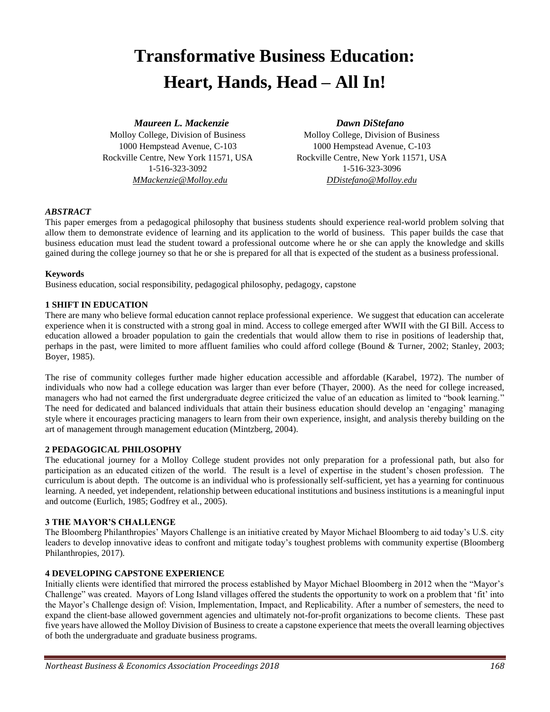# **Transformative Business Education: Heart, Hands, Head – All In!**

*Maureen L. Mackenzie Dawn DiStefano*

Molloy College, Division of Business Molloy College, Division of Business 1-516-323-3092 1-516-323-3096 *MMackenzie@Molloy.edu DDistefano@Molloy.edu*

1000 Hempstead Avenue, C-103 1000 Hempstead Avenue, C-103 Rockville Centre, New York 11571, USA Rockville Centre, New York 11571, USA

### *ABSTRACT*

This paper emerges from a pedagogical philosophy that business students should experience real-world problem solving that allow them to demonstrate evidence of learning and its application to the world of business. This paper builds the case that business education must lead the student toward a professional outcome where he or she can apply the knowledge and skills gained during the college journey so that he or she is prepared for all that is expected of the student as a business professional.

#### **Keywords**

Business education, social responsibility, pedagogical philosophy, pedagogy, capstone

#### **1 SHIFT IN EDUCATION**

There are many who believe formal education cannot replace professional experience. We suggest that education can accelerate experience when it is constructed with a strong goal in mind. Access to college emerged after WWII with the GI Bill. Access to education allowed a broader population to gain the credentials that would allow them to rise in positions of leadership that, perhaps in the past, were limited to more affluent families who could afford college (Bound & Turner, 2002; Stanley, 2003; Boyer, 1985).

The rise of community colleges further made higher education accessible and affordable (Karabel, 1972). The number of individuals who now had a college education was larger than ever before (Thayer, 2000). As the need for college increased, managers who had not earned the first undergraduate degree criticized the value of an education as limited to "book learning." The need for dedicated and balanced individuals that attain their business education should develop an 'engaging' managing style where it encourages practicing managers to learn from their own experience, insight, and analysis thereby building on the art of management through management education (Mintzberg, 2004).

## **2 PEDAGOGICAL PHILOSOPHY**

The educational journey for a Molloy College student provides not only preparation for a professional path, but also for participation as an educated citizen of the world. The result is a level of expertise in the student's chosen profession. The curriculum is about depth. The outcome is an individual who is professionally self-sufficient, yet has a yearning for continuous learning. A needed, yet independent, relationship between educational institutions and business institutions is a meaningful input and outcome (Eurlich, 1985; Godfrey et al., 2005).

#### **3 THE MAYOR'S CHALLENGE**

The Bloomberg Philanthropies' Mayors Challenge is an initiative created by Mayor Michael Bloomberg to aid today's U.S. city leaders to develop innovative ideas to confront and mitigate today's toughest problems with community expertise (Bloomberg Philanthropies, 2017).

#### **4 DEVELOPING CAPSTONE EXPERIENCE**

Initially clients were identified that mirrored the process established by Mayor Michael Bloomberg in 2012 when the "Mayor's Challenge" was created. Mayors of Long Island villages offered the students the opportunity to work on a problem that 'fit' into the Mayor's Challenge design of: Vision, Implementation, Impact, and Replicability. After a number of semesters, the need to expand the client-base allowed government agencies and ultimately not-for-profit organizations to become clients. These past five years have allowed the Molloy Division of Business to create a capstone experience that meets the overall learning objectives of both the undergraduate and graduate business programs.